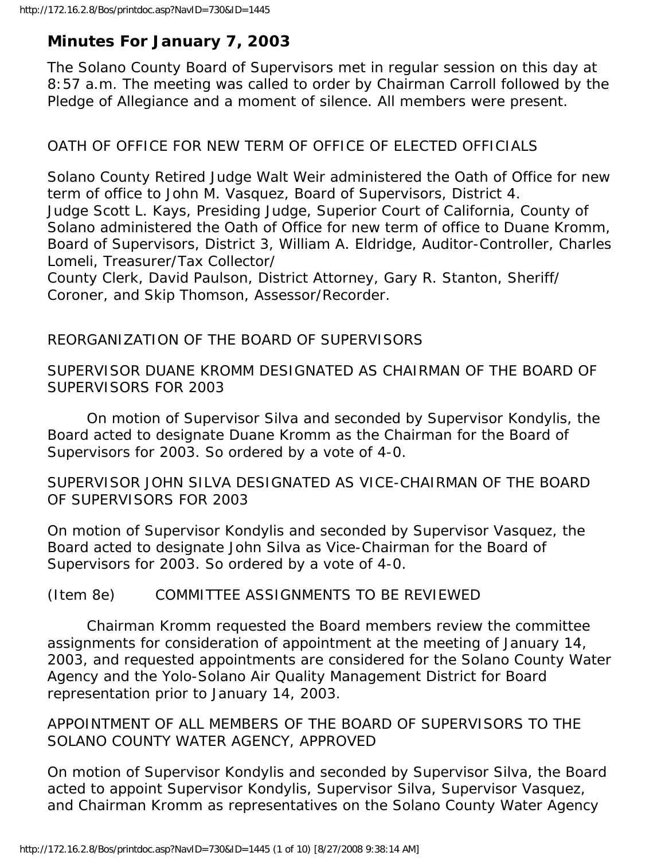# **Minutes For January 7, 2003**

The Solano County Board of Supervisors met in regular session on this day at 8:57 a.m. The meeting was called to order by Chairman Carroll followed by the Pledge of Allegiance and a moment of silence. All members were present.

## OATH OF OFFICE FOR NEW TERM OF OFFICE OF ELECTED OFFICIALS

Solano County Retired Judge Walt Weir administered the Oath of Office for new term of office to John M. Vasquez, Board of Supervisors, District 4. Judge Scott L. Kays, Presiding Judge, Superior Court of California, County of Solano administered the Oath of Office for new term of office to Duane Kromm, Board of Supervisors, District 3, William A. Eldridge, Auditor-Controller, Charles Lomeli, Treasurer/Tax Collector/

County Clerk, David Paulson, District Attorney, Gary R. Stanton, Sheriff/ Coroner, and Skip Thomson, Assessor/Recorder.

## REORGANIZATION OF THE BOARD OF SUPERVISORS

SUPERVISOR DUANE KROMM DESIGNATED AS CHAIRMAN OF THE BOARD OF SUPERVISORS FOR 2003

 On motion of Supervisor Silva and seconded by Supervisor Kondylis, the Board acted to designate Duane Kromm as the Chairman for the Board of Supervisors for 2003. So ordered by a vote of 4-0.

SUPERVISOR JOHN SILVA DESIGNATED AS VICE-CHAIRMAN OF THE BOARD OF SUPERVISORS FOR 2003

On motion of Supervisor Kondylis and seconded by Supervisor Vasquez, the Board acted to designate John Silva as Vice-Chairman for the Board of Supervisors for 2003. So ordered by a vote of 4-0.

### (Item 8e) COMMITTEE ASSIGNMENTS TO BE REVIEWED

 Chairman Kromm requested the Board members review the committee assignments for consideration of appointment at the meeting of January 14, 2003, and requested appointments are considered for the Solano County Water Agency and the Yolo-Solano Air Quality Management District for Board representation prior to January 14, 2003.

APPOINTMENT OF ALL MEMBERS OF THE BOARD OF SUPERVISORS TO THE SOLANO COUNTY WATER AGENCY, APPROVED

On motion of Supervisor Kondylis and seconded by Supervisor Silva, the Board acted to appoint Supervisor Kondylis, Supervisor Silva, Supervisor Vasquez, and Chairman Kromm as representatives on the Solano County Water Agency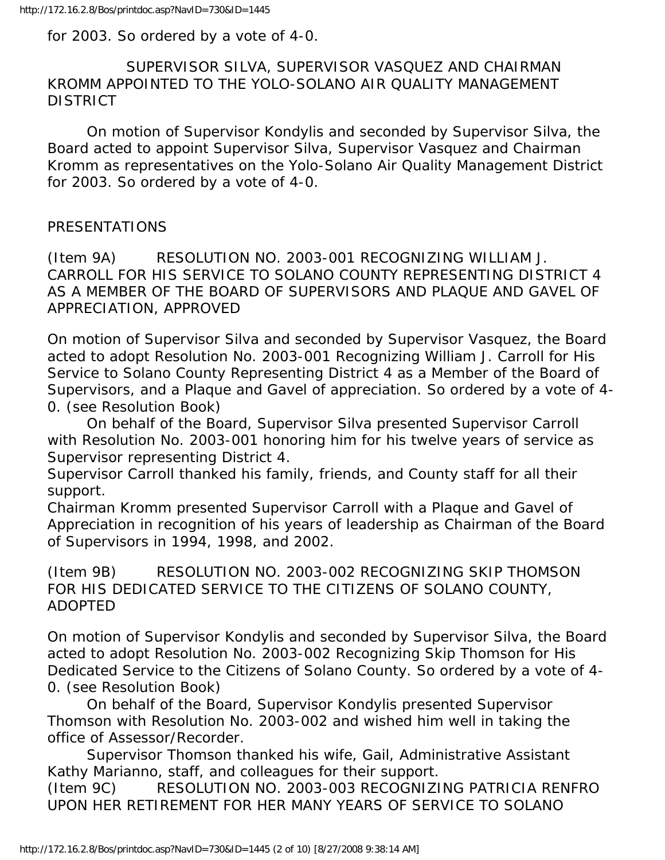for 2003. So ordered by a vote of 4-0.

## SUPERVISOR SILVA, SUPERVISOR VASQUEZ AND CHAIRMAN KROMM APPOINTED TO THE YOLO-SOLANO AIR QUALITY MANAGEMENT DISTRICT

 On motion of Supervisor Kondylis and seconded by Supervisor Silva, the Board acted to appoint Supervisor Silva, Supervisor Vasquez and Chairman Kromm as representatives on the Yolo-Solano Air Quality Management District for 2003. So ordered by a vote of 4-0.

## PRESENTATIONS

(Item 9A) RESOLUTION NO. 2003-001 RECOGNIZING WILLIAM J. CARROLL FOR HIS SERVICE TO SOLANO COUNTY REPRESENTING DISTRICT 4 AS A MEMBER OF THE BOARD OF SUPERVISORS AND PLAQUE AND GAVEL OF APPRECIATION, APPROVED

On motion of Supervisor Silva and seconded by Supervisor Vasquez, the Board acted to adopt Resolution No. 2003-001 Recognizing William J. Carroll for His Service to Solano County Representing District 4 as a Member of the Board of Supervisors, and a Plaque and Gavel of appreciation. So ordered by a vote of 4- 0. (see Resolution Book)

 On behalf of the Board, Supervisor Silva presented Supervisor Carroll with Resolution No. 2003-001 honoring him for his twelve years of service as Supervisor representing District 4.

Supervisor Carroll thanked his family, friends, and County staff for all their support.

Chairman Kromm presented Supervisor Carroll with a Plaque and Gavel of Appreciation in recognition of his years of leadership as Chairman of the Board of Supervisors in 1994, 1998, and 2002.

(Item 9B) RESOLUTION NO. 2003-002 RECOGNIZING SKIP THOMSON FOR HIS DEDICATED SERVICE TO THE CITIZENS OF SOLANO COUNTY, ADOPTED

On motion of Supervisor Kondylis and seconded by Supervisor Silva, the Board acted to adopt Resolution No. 2003-002 Recognizing Skip Thomson for His Dedicated Service to the Citizens of Solano County. So ordered by a vote of 4- 0. (see Resolution Book)

 On behalf of the Board, Supervisor Kondylis presented Supervisor Thomson with Resolution No. 2003-002 and wished him well in taking the office of Assessor/Recorder.

 Supervisor Thomson thanked his wife, Gail, Administrative Assistant Kathy Marianno, staff, and colleagues for their support.

(Item 9C) RESOLUTION NO. 2003-003 RECOGNIZING PATRICIA RENFRO UPON HER RETIREMENT FOR HER MANY YEARS OF SERVICE TO SOLANO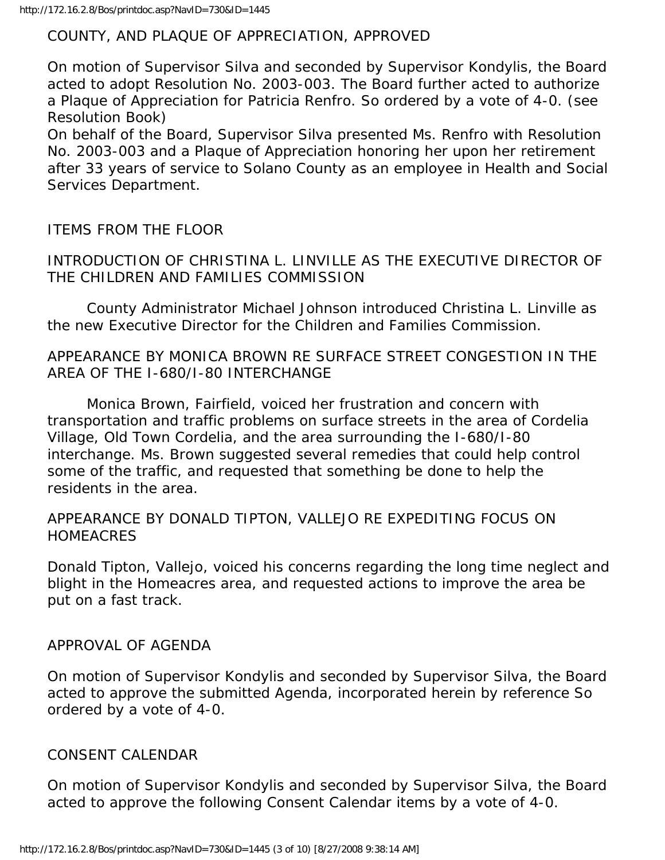#### COUNTY, AND PLAQUE OF APPRECIATION, APPROVED

On motion of Supervisor Silva and seconded by Supervisor Kondylis, the Board acted to adopt Resolution No. 2003-003. The Board further acted to authorize a Plaque of Appreciation for Patricia Renfro. So ordered by a vote of 4-0. (see Resolution Book)

On behalf of the Board, Supervisor Silva presented Ms. Renfro with Resolution No. 2003-003 and a Plaque of Appreciation honoring her upon her retirement after 33 years of service to Solano County as an employee in Health and Social Services Department.

#### ITEMS FROM THE FLOOR

INTRODUCTION OF CHRISTINA L. LINVILLE AS THE EXECUTIVE DIRECTOR OF THE CHILDREN AND FAMILIES COMMISSION

 County Administrator Michael Johnson introduced Christina L. Linville as the new Executive Director for the Children and Families Commission.

APPEARANCE BY MONICA BROWN RE SURFACE STREET CONGESTION IN THE AREA OF THE I-680/I-80 INTERCHANGE

 Monica Brown, Fairfield, voiced her frustration and concern with transportation and traffic problems on surface streets in the area of Cordelia Village, Old Town Cordelia, and the area surrounding the I-680/I-80 interchange. Ms. Brown suggested several remedies that could help control some of the traffic, and requested that something be done to help the residents in the area.

#### APPEARANCE BY DONALD TIPTON, VALLEJO RE EXPEDITING FOCUS ON HOMEACRES

Donald Tipton, Vallejo, voiced his concerns regarding the long time neglect and blight in the Homeacres area, and requested actions to improve the area be put on a fast track.

#### APPROVAL OF AGENDA

On motion of Supervisor Kondylis and seconded by Supervisor Silva, the Board acted to approve the submitted Agenda, incorporated herein by reference So ordered by a vote of 4-0.

#### CONSENT CALENDAR

On motion of Supervisor Kondylis and seconded by Supervisor Silva, the Board acted to approve the following Consent Calendar items by a vote of 4-0.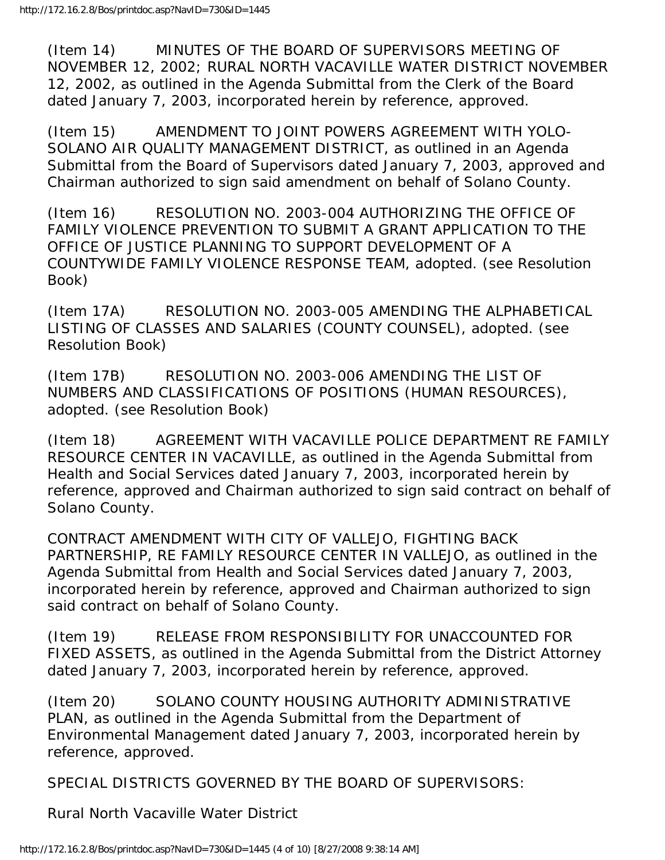(Item 14) MINUTES OF THE BOARD OF SUPERVISORS MEETING OF NOVEMBER 12, 2002; RURAL NORTH VACAVILLE WATER DISTRICT NOVEMBER 12, 2002, as outlined in the Agenda Submittal from the Clerk of the Board dated January 7, 2003, incorporated herein by reference, approved.

(Item 15) AMENDMENT TO JOINT POWERS AGREEMENT WITH YOLO-SOLANO AIR QUALITY MANAGEMENT DISTRICT, as outlined in an Agenda Submittal from the Board of Supervisors dated January 7, 2003, approved and Chairman authorized to sign said amendment on behalf of Solano County.

(Item 16) RESOLUTION NO. 2003-004 AUTHORIZING THE OFFICE OF FAMILY VIOLENCE PREVENTION TO SUBMIT A GRANT APPLICATION TO THE OFFICE OF JUSTICE PLANNING TO SUPPORT DEVELOPMENT OF A COUNTYWIDE FAMILY VIOLENCE RESPONSE TEAM, adopted. (see Resolution Book)

(Item 17A) RESOLUTION NO. 2003-005 AMENDING THE ALPHABETICAL LISTING OF CLASSES AND SALARIES (COUNTY COUNSEL), adopted. (see Resolution Book)

(Item 17B) RESOLUTION NO. 2003-006 AMENDING THE LIST OF NUMBERS AND CLASSIFICATIONS OF POSITIONS (HUMAN RESOURCES), adopted. (see Resolution Book)

(Item 18) AGREEMENT WITH VACAVILLE POLICE DEPARTMENT RE FAMILY RESOURCE CENTER IN VACAVILLE, as outlined in the Agenda Submittal from Health and Social Services dated January 7, 2003, incorporated herein by reference, approved and Chairman authorized to sign said contract on behalf of Solano County.

CONTRACT AMENDMENT WITH CITY OF VALLEJO, FIGHTING BACK PARTNERSHIP, RE FAMILY RESOURCE CENTER IN VALLEJO, as outlined in the Agenda Submittal from Health and Social Services dated January 7, 2003, incorporated herein by reference, approved and Chairman authorized to sign said contract on behalf of Solano County.

(Item 19) RELEASE FROM RESPONSIBILITY FOR UNACCOUNTED FOR FIXED ASSETS, as outlined in the Agenda Submittal from the District Attorney dated January 7, 2003, incorporated herein by reference, approved.

(Item 20) SOLANO COUNTY HOUSING AUTHORITY ADMINISTRATIVE PLAN, as outlined in the Agenda Submittal from the Department of Environmental Management dated January 7, 2003, incorporated herein by reference, approved.

SPECIAL DISTRICTS GOVERNED BY THE BOARD OF SUPERVISORS:

Rural North Vacaville Water District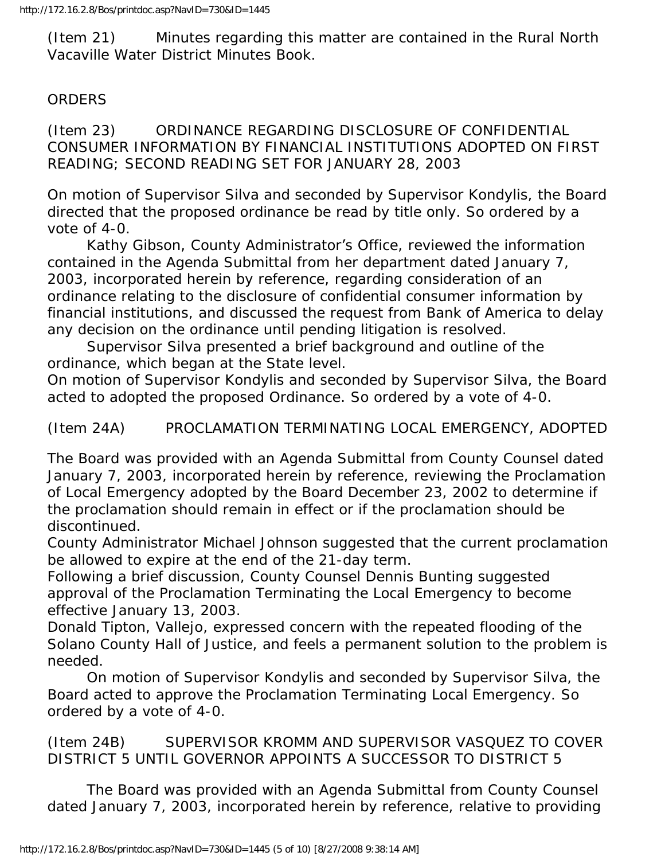(Item 21) Minutes regarding this matter are contained in the Rural North Vacaville Water District Minutes Book.

## ORDERS

(Item 23) ORDINANCE REGARDING DISCLOSURE OF CONFIDENTIAL CONSUMER INFORMATION BY FINANCIAL INSTITUTIONS ADOPTED ON FIRST READING; SECOND READING SET FOR JANUARY 28, 2003

On motion of Supervisor Silva and seconded by Supervisor Kondylis, the Board directed that the proposed ordinance be read by title only. So ordered by a vote of 4-0.

 Kathy Gibson, County Administrator's Office, reviewed the information contained in the Agenda Submittal from her department dated January 7, 2003, incorporated herein by reference, regarding consideration of an ordinance relating to the disclosure of confidential consumer information by financial institutions, and discussed the request from Bank of America to delay any decision on the ordinance until pending litigation is resolved.

 Supervisor Silva presented a brief background and outline of the ordinance, which began at the State level.

On motion of Supervisor Kondylis and seconded by Supervisor Silva, the Board acted to adopted the proposed Ordinance. So ordered by a vote of 4-0.

(Item 24A) PROCLAMATION TERMINATING LOCAL EMERGENCY, ADOPTED

The Board was provided with an Agenda Submittal from County Counsel dated January 7, 2003, incorporated herein by reference, reviewing the Proclamation of Local Emergency adopted by the Board December 23, 2002 to determine if the proclamation should remain in effect or if the proclamation should be discontinued.

County Administrator Michael Johnson suggested that the current proclamation be allowed to expire at the end of the 21-day term.

Following a brief discussion, County Counsel Dennis Bunting suggested approval of the Proclamation Terminating the Local Emergency to become effective January 13, 2003.

Donald Tipton, Vallejo, expressed concern with the repeated flooding of the Solano County Hall of Justice, and feels a permanent solution to the problem is needed.

 On motion of Supervisor Kondylis and seconded by Supervisor Silva, the Board acted to approve the Proclamation Terminating Local Emergency. So ordered by a vote of 4-0.

(Item 24B) SUPERVISOR KROMM AND SUPERVISOR VASQUEZ TO COVER DISTRICT 5 UNTIL GOVERNOR APPOINTS A SUCCESSOR TO DISTRICT 5

 The Board was provided with an Agenda Submittal from County Counsel dated January 7, 2003, incorporated herein by reference, relative to providing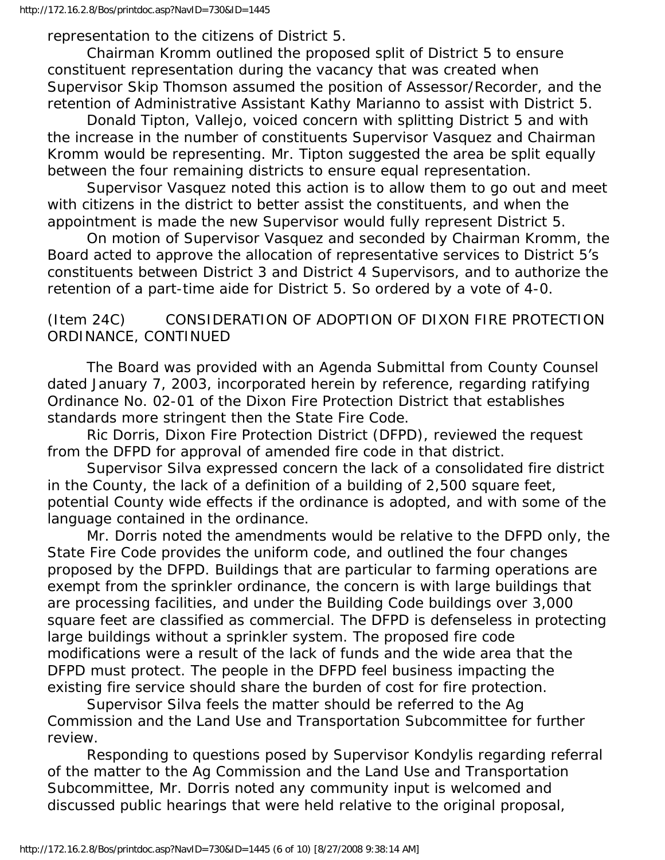representation to the citizens of District 5.

 Chairman Kromm outlined the proposed split of District 5 to ensure constituent representation during the vacancy that was created when Supervisor Skip Thomson assumed the position of Assessor/Recorder, and the retention of Administrative Assistant Kathy Marianno to assist with District 5.

 Donald Tipton, Vallejo, voiced concern with splitting District 5 and with the increase in the number of constituents Supervisor Vasquez and Chairman Kromm would be representing. Mr. Tipton suggested the area be split equally between the four remaining districts to ensure equal representation.

 Supervisor Vasquez noted this action is to allow them to go out and meet with citizens in the district to better assist the constituents, and when the appointment is made the new Supervisor would fully represent District 5.

 On motion of Supervisor Vasquez and seconded by Chairman Kromm, the Board acted to approve the allocation of representative services to District 5's constituents between District 3 and District 4 Supervisors, and to authorize the retention of a part-time aide for District 5. So ordered by a vote of 4-0.

(Item 24C) CONSIDERATION OF ADOPTION OF DIXON FIRE PROTECTION ORDINANCE, CONTINUED

 The Board was provided with an Agenda Submittal from County Counsel dated January 7, 2003, incorporated herein by reference, regarding ratifying Ordinance No. 02-01 of the Dixon Fire Protection District that establishes standards more stringent then the State Fire Code.

 Ric Dorris, Dixon Fire Protection District (DFPD), reviewed the request from the DFPD for approval of amended fire code in that district.

 Supervisor Silva expressed concern the lack of a consolidated fire district in the County, the lack of a definition of a building of 2,500 square feet, potential County wide effects if the ordinance is adopted, and with some of the language contained in the ordinance.

 Mr. Dorris noted the amendments would be relative to the DFPD only, the State Fire Code provides the uniform code, and outlined the four changes proposed by the DFPD. Buildings that are particular to farming operations are exempt from the sprinkler ordinance, the concern is with large buildings that are processing facilities, and under the Building Code buildings over 3,000 square feet are classified as commercial. The DFPD is defenseless in protecting large buildings without a sprinkler system. The proposed fire code modifications were a result of the lack of funds and the wide area that the DFPD must protect. The people in the DFPD feel business impacting the existing fire service should share the burden of cost for fire protection.

 Supervisor Silva feels the matter should be referred to the Ag Commission and the Land Use and Transportation Subcommittee for further review.

 Responding to questions posed by Supervisor Kondylis regarding referral of the matter to the Ag Commission and the Land Use and Transportation Subcommittee, Mr. Dorris noted any community input is welcomed and discussed public hearings that were held relative to the original proposal,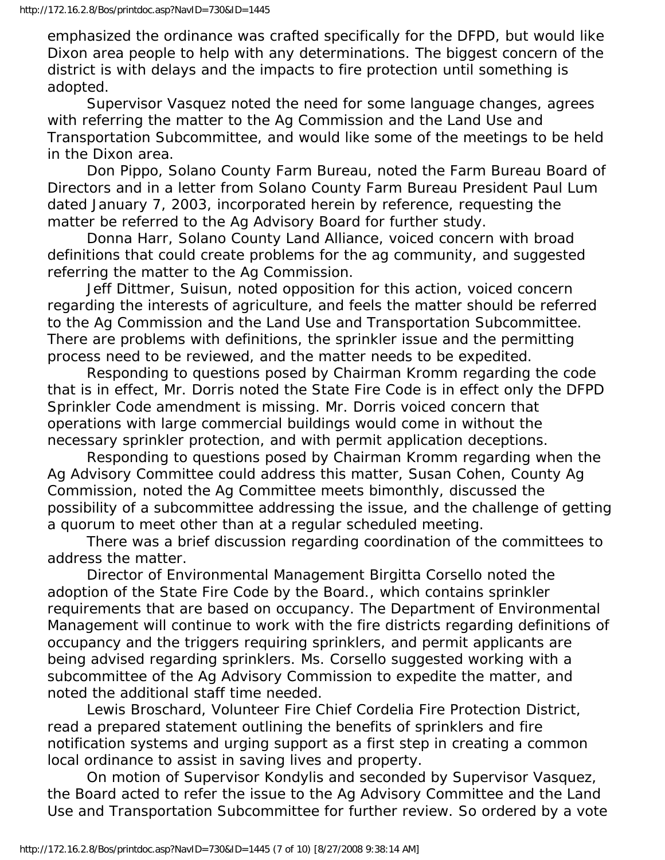emphasized the ordinance was crafted specifically for the DFPD, but would like Dixon area people to help with any determinations. The biggest concern of the district is with delays and the impacts to fire protection until something is adopted.

 Supervisor Vasquez noted the need for some language changes, agrees with referring the matter to the Ag Commission and the Land Use and Transportation Subcommittee, and would like some of the meetings to be held in the Dixon area.

 Don Pippo, Solano County Farm Bureau, noted the Farm Bureau Board of Directors and in a letter from Solano County Farm Bureau President Paul Lum dated January 7, 2003, incorporated herein by reference, requesting the matter be referred to the Ag Advisory Board for further study.

 Donna Harr, Solano County Land Alliance, voiced concern with broad definitions that could create problems for the ag community, and suggested referring the matter to the Ag Commission.

 Jeff Dittmer, Suisun, noted opposition for this action, voiced concern regarding the interests of agriculture, and feels the matter should be referred to the Ag Commission and the Land Use and Transportation Subcommittee. There are problems with definitions, the sprinkler issue and the permitting process need to be reviewed, and the matter needs to be expedited.

 Responding to questions posed by Chairman Kromm regarding the code that is in effect, Mr. Dorris noted the State Fire Code is in effect only the DFPD Sprinkler Code amendment is missing. Mr. Dorris voiced concern that operations with large commercial buildings would come in without the necessary sprinkler protection, and with permit application deceptions.

 Responding to questions posed by Chairman Kromm regarding when the Ag Advisory Committee could address this matter, Susan Cohen, County Ag Commission, noted the Ag Committee meets bimonthly, discussed the possibility of a subcommittee addressing the issue, and the challenge of getting a quorum to meet other than at a regular scheduled meeting.

 There was a brief discussion regarding coordination of the committees to address the matter.

 Director of Environmental Management Birgitta Corsello noted the adoption of the State Fire Code by the Board., which contains sprinkler requirements that are based on occupancy. The Department of Environmental Management will continue to work with the fire districts regarding definitions of occupancy and the triggers requiring sprinklers, and permit applicants are being advised regarding sprinklers. Ms. Corsello suggested working with a subcommittee of the Ag Advisory Commission to expedite the matter, and noted the additional staff time needed.

 Lewis Broschard, Volunteer Fire Chief Cordelia Fire Protection District, read a prepared statement outlining the benefits of sprinklers and fire notification systems and urging support as a first step in creating a common local ordinance to assist in saving lives and property.

 On motion of Supervisor Kondylis and seconded by Supervisor Vasquez, the Board acted to refer the issue to the Ag Advisory Committee and the Land Use and Transportation Subcommittee for further review. So ordered by a vote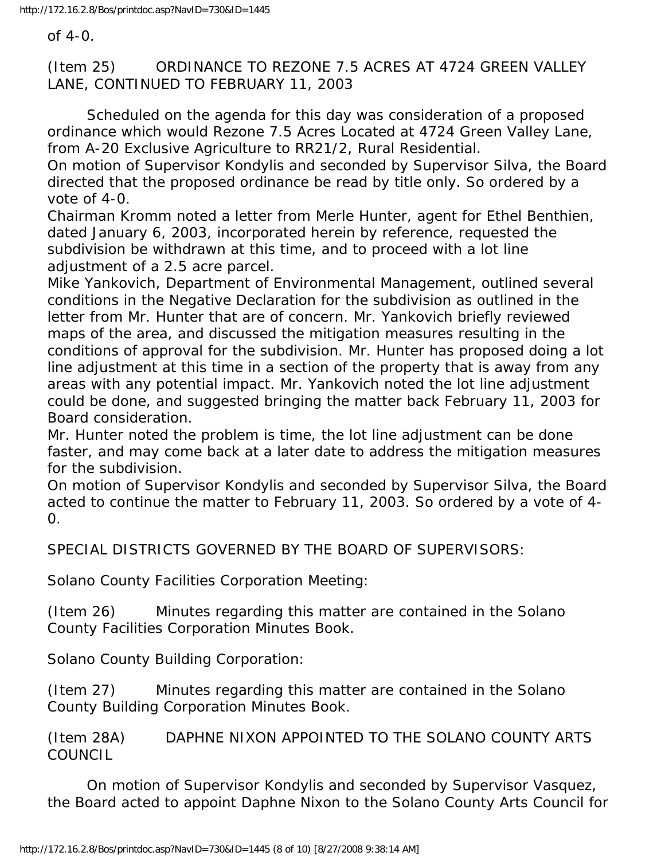of 4-0.

(Item 25) ORDINANCE TO REZONE 7.5 ACRES AT 4724 GREEN VALLEY LANE, CONTINUED TO FEBRUARY 11, 2003

 Scheduled on the agenda for this day was consideration of a proposed ordinance which would Rezone 7.5 Acres Located at 4724 Green Valley Lane, from A-20 Exclusive Agriculture to RR21/2, Rural Residential.

On motion of Supervisor Kondylis and seconded by Supervisor Silva, the Board directed that the proposed ordinance be read by title only. So ordered by a vote of 4-0.

Chairman Kromm noted a letter from Merle Hunter, agent for Ethel Benthien, dated January 6, 2003, incorporated herein by reference, requested the subdivision be withdrawn at this time, and to proceed with a lot line adjustment of a 2.5 acre parcel.

Mike Yankovich, Department of Environmental Management, outlined several conditions in the Negative Declaration for the subdivision as outlined in the letter from Mr. Hunter that are of concern. Mr. Yankovich briefly reviewed maps of the area, and discussed the mitigation measures resulting in the conditions of approval for the subdivision. Mr. Hunter has proposed doing a lot line adjustment at this time in a section of the property that is away from any areas with any potential impact. Mr. Yankovich noted the lot line adjustment could be done, and suggested bringing the matter back February 11, 2003 for Board consideration.

Mr. Hunter noted the problem is time, the lot line adjustment can be done faster, and may come back at a later date to address the mitigation measures for the subdivision.

On motion of Supervisor Kondylis and seconded by Supervisor Silva, the Board acted to continue the matter to February 11, 2003. So ordered by a vote of 4-  $\Omega$ .

SPECIAL DISTRICTS GOVERNED BY THE BOARD OF SUPERVISORS:

Solano County Facilities Corporation Meeting:

(Item 26) Minutes regarding this matter are contained in the Solano County Facilities Corporation Minutes Book.

Solano County Building Corporation:

(Item 27) Minutes regarding this matter are contained in the Solano County Building Corporation Minutes Book.

(Item 28A) DAPHNE NIXON APPOINTED TO THE SOLANO COUNTY ARTS COUNCIL

 On motion of Supervisor Kondylis and seconded by Supervisor Vasquez, the Board acted to appoint Daphne Nixon to the Solano County Arts Council for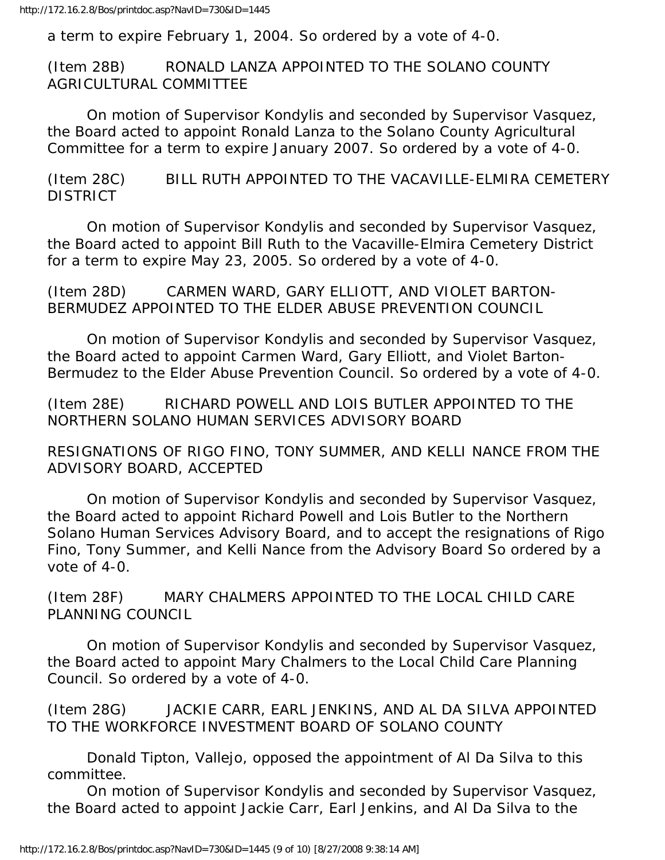a term to expire February 1, 2004. So ordered by a vote of 4-0.

(Item 28B) RONALD LANZA APPOINTED TO THE SOLANO COUNTY AGRICULTURAL COMMITTEE

 On motion of Supervisor Kondylis and seconded by Supervisor Vasquez, the Board acted to appoint Ronald Lanza to the Solano County Agricultural Committee for a term to expire January 2007. So ordered by a vote of 4-0.

(Item 28C) BILL RUTH APPOINTED TO THE VACAVILLE-ELMIRA CEMETERY **DISTRICT** 

 On motion of Supervisor Kondylis and seconded by Supervisor Vasquez, the Board acted to appoint Bill Ruth to the Vacaville-Elmira Cemetery District for a term to expire May 23, 2005. So ordered by a vote of 4-0.

(Item 28D) CARMEN WARD, GARY ELLIOTT, AND VIOLET BARTON-BERMUDEZ APPOINTED TO THE ELDER ABUSE PREVENTION COUNCIL

 On motion of Supervisor Kondylis and seconded by Supervisor Vasquez, the Board acted to appoint Carmen Ward, Gary Elliott, and Violet Barton-Bermudez to the Elder Abuse Prevention Council. So ordered by a vote of 4-0.

(Item 28E) RICHARD POWELL AND LOIS BUTLER APPOINTED TO THE NORTHERN SOLANO HUMAN SERVICES ADVISORY BOARD

RESIGNATIONS OF RIGO FINO, TONY SUMMER, AND KELLI NANCE FROM THE ADVISORY BOARD, ACCEPTED

 On motion of Supervisor Kondylis and seconded by Supervisor Vasquez, the Board acted to appoint Richard Powell and Lois Butler to the Northern Solano Human Services Advisory Board, and to accept the resignations of Rigo Fino, Tony Summer, and Kelli Nance from the Advisory Board So ordered by a vote of 4-0.

(Item 28F) MARY CHALMERS APPOINTED TO THE LOCAL CHILD CARE PLANNING COUNCIL

 On motion of Supervisor Kondylis and seconded by Supervisor Vasquez, the Board acted to appoint Mary Chalmers to the Local Child Care Planning Council. So ordered by a vote of 4-0.

(Item 28G) JACKIE CARR, EARL JENKINS, AND AL DA SILVA APPOINTED TO THE WORKFORCE INVESTMENT BOARD OF SOLANO COUNTY

 Donald Tipton, Vallejo, opposed the appointment of Al Da Silva to this committee.

 On motion of Supervisor Kondylis and seconded by Supervisor Vasquez, the Board acted to appoint Jackie Carr, Earl Jenkins, and Al Da Silva to the